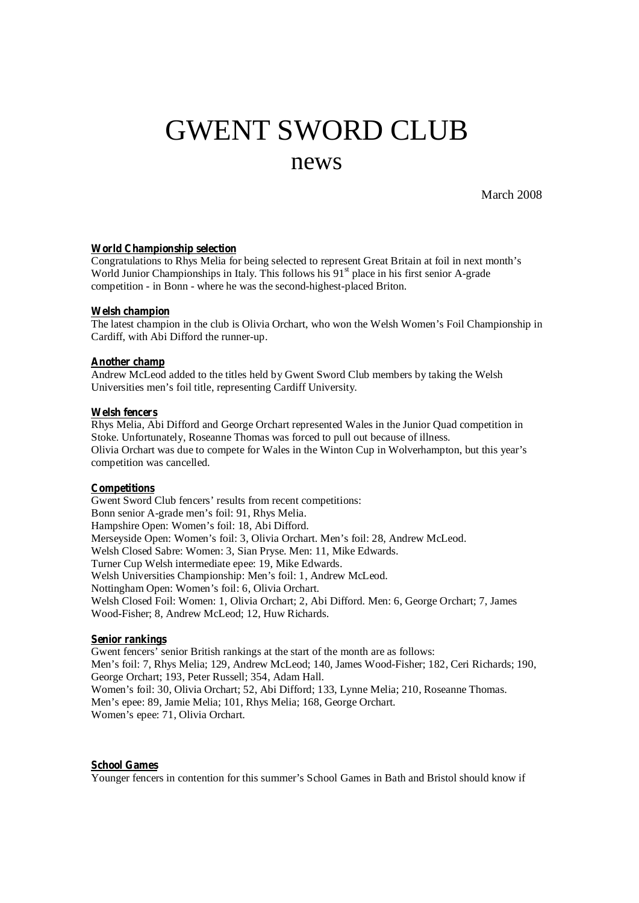# GWENT SWORD CLUB

# news

March 2008

#### **World Championship selection**

Congratulations to Rhys Melia for being selected to represent Great Britain at foil in next month's World Junior Championships in Italy. This follows his 91<sup>st</sup> place in his first senior A-grade competition - in Bonn - where he was the second-highest-placed Briton.

# **Welsh champion**

The latest champion in the club is Olivia Orchart, who won the Welsh Women's Foil Championship in Cardiff, with Abi Difford the runner-up.

# **Another champ**

Andrew McLeod added to the titles held by Gwent Sword Club members by taking the Welsh Universities men's foil title, representing Cardiff University.

# **Welsh fencers**

Rhys Melia, Abi Difford and George Orchart represented Wales in the Junior Quad competition in Stoke. Unfortunately, Roseanne Thomas was forced to pull out because of illness. Olivia Orchart was due to compete for Wales in the Winton Cup in Wolverhampton, but this year's competition was cancelled.

# **Competitions**

Gwent Sword Club fencers' results from recent competitions: Bonn senior A-grade men's foil: 91, Rhys Melia. Hampshire Open: Women's foil: 18, Abi Difford. Merseyside Open: Women's foil: 3, Olivia Orchart. Men's foil: 28, Andrew McLeod. Welsh Closed Sabre: Women: 3, Sian Pryse. Men: 11, Mike Edwards. Turner Cup Welsh intermediate epee: 19, Mike Edwards. Welsh Universities Championship: Men's foil: 1, Andrew McLeod. Nottingham Open: Women's foil: 6, Olivia Orchart. Welsh Closed Foil: Women: 1, Olivia Orchart; 2, Abi Difford. Men: 6, George Orchart; 7, James Wood-Fisher; 8, Andrew McLeod; 12, Huw Richards.

#### **Senior rankings**

Gwent fencers' senior British rankings at the start of the month are as follows: Men's foil: 7, Rhys Melia; 129, Andrew McLeod; 140, James Wood-Fisher; 182, Ceri Richards; 190, George Orchart; 193, Peter Russell; 354, Adam Hall. Women's foil: 30, Olivia Orchart; 52, Abi Difford; 133, Lynne Melia; 210, Roseanne Thomas. Men's epee: 89, Jamie Melia; 101, Rhys Melia; 168, George Orchart. Women's epee: 71, Olivia Orchart.

# **School Games**

Younger fencers in contention for this summer's School Games in Bath and Bristol should know if